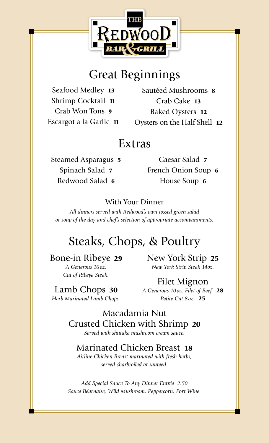

## Great Beginnings

Seafood Medley 13 Shrimp Cocktail 11 Crab Won Tons 9 Escargot a la Garlic 11

Sautéed Mushrooms 8 Crab Cake 13 Baked Oysters 12 Oysters on the Half Shell 12

### Extras

Steamed Asparagus 5 Spinach Salad 7 Redwood Salad 6

Caesar Salad 7 French Onion Soup 6 House Soup 6

#### With Your Dinner

*All dinners served with Redwood's own tossed green salad or soup of the day and chef's selection of appropriate accompaniments.*

### Steaks, Chops, & Poultry

#### Bone-in Ribeye 29

*A Generous 16oz. Cut of Ribeye Steak.* New York Strip 25 *New York Strip Steak 14oz.*

Lamb Chops 30 *Herb Marinated Lamb Chops.*

Filet Mignon *A Generous 10oz. Filet of Beef* 28 *Petite Cut 8oz.* 25

Macadamia Nut Crusted Chicken with Shrimp 20 *Served with shiitake mushroom cream sauce.*

### Marinated Chicken Breast 18

*Airline Chicken Breast marinated with fresh herbs, served charbroiled or sautéed.*

*Add Special Sauce To Any Dinner Entrée 2.50 Sauce Béarnaise, Wild Mushroom, Peppercorn, Port Wine.*